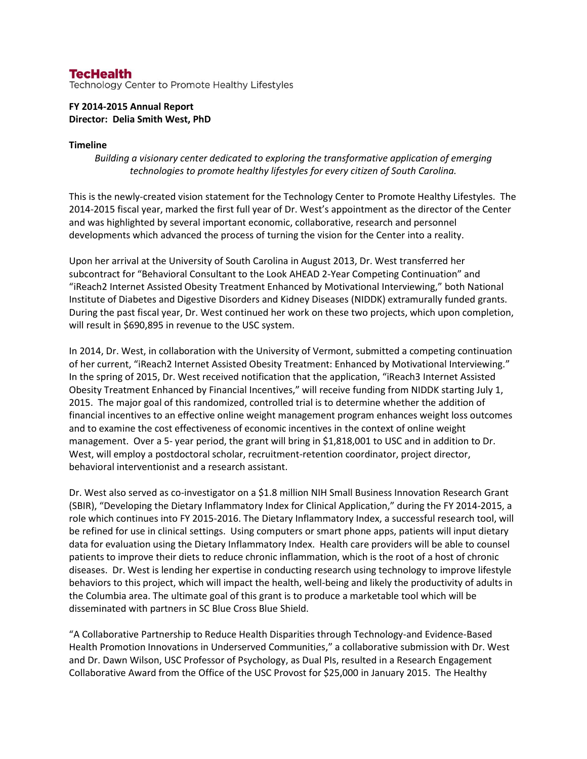# **TecHealth**

Technology Center to Promote Healthy Lifestyles

## **FY 2014-2015 Annual Report Director: Delia Smith West, PhD**

#### **Timeline**

*Building a visionary center dedicated to exploring the transformative application of emerging technologies to promote healthy lifestyles for every citizen of South Carolina.*

This is the newly-created vision statement for the Technology Center to Promote Healthy Lifestyles. The 2014-2015 fiscal year, marked the first full year of Dr. West's appointment as the director of the Center and was highlighted by several important economic, collaborative, research and personnel developments which advanced the process of turning the vision for the Center into a reality.

Upon her arrival at the University of South Carolina in August 2013, Dr. West transferred her subcontract for "Behavioral Consultant to the Look AHEAD 2-Year Competing Continuation" and "iReach2 Internet Assisted Obesity Treatment Enhanced by Motivational Interviewing," both National Institute of Diabetes and Digestive Disorders and Kidney Diseases (NIDDK) extramurally funded grants. During the past fiscal year, Dr. West continued her work on these two projects, which upon completion, will result in \$690,895 in revenue to the USC system.

In 2014, Dr. West, in collaboration with the University of Vermont, submitted a competing continuation of her current, "iReach2 Internet Assisted Obesity Treatment: Enhanced by Motivational Interviewing." In the spring of 2015, Dr. West received notification that the application, "iReach3 Internet Assisted Obesity Treatment Enhanced by Financial Incentives," will receive funding from NIDDK starting July 1, 2015. The major goal of this randomized, controlled trial is to determine whether the addition of financial incentives to an effective online weight management program enhances weight loss outcomes and to examine the cost effectiveness of economic incentives in the context of online weight management. Over a 5- year period, the grant will bring in \$1,818,001 to USC and in addition to Dr. West, will employ a postdoctoral scholar, recruitment-retention coordinator, project director, behavioral interventionist and a research assistant.

Dr. West also served as co-investigator on a \$1.8 million NIH Small Business Innovation Research Grant (SBIR), "Developing the Dietary Inflammatory Index for Clinical Application," during the FY 2014-2015, a role which continues into FY 2015-2016. The Dietary Inflammatory Index, a successful research tool, will be refined for use in clinical settings. Using computers or smart phone apps, patients will input dietary data for evaluation using the Dietary Inflammatory Index. Health care providers will be able to counsel patients to improve their diets to reduce chronic inflammation, which is the root of a host of chronic diseases. Dr. West is lending her expertise in conducting research using technology to improve lifestyle behaviors to this project, which will impact the health, well-being and likely the productivity of adults in the Columbia area. The ultimate goal of this grant is to produce a marketable tool which will be disseminated with partners in SC Blue Cross Blue Shield.

"A Collaborative Partnership to Reduce Health Disparities through Technology-and Evidence-Based Health Promotion Innovations in Underserved Communities," a collaborative submission with Dr. West and Dr. Dawn Wilson, USC Professor of Psychology, as Dual PIs, resulted in a Research Engagement Collaborative Award from the Office of the USC Provost for \$25,000 in January 2015. The Healthy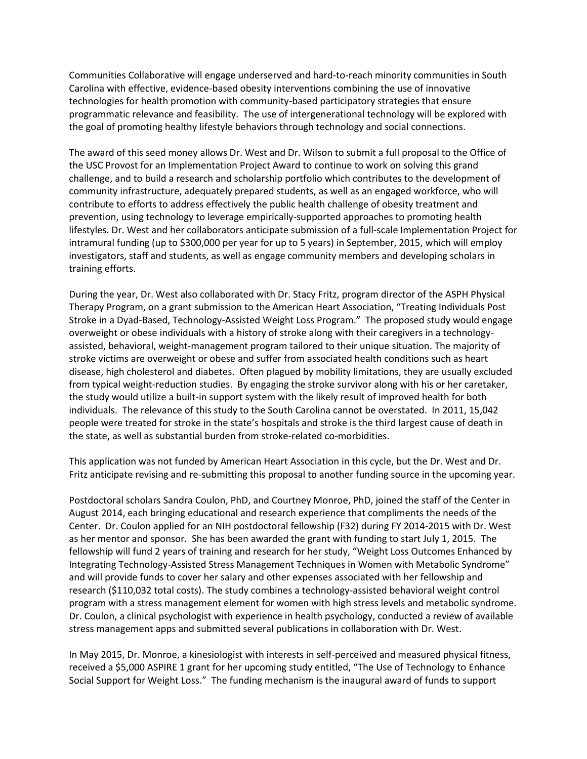Communities Collaborative will engage underserved and hard-to-reach minority communities in South Carolina with effective, evidence-based obesity interventions combining the use of innovative technologies for health promotion with community-based participatory strategies that ensure programmatic relevance and feasibility. The use of intergenerational technology will be explored with the goal of promoting healthy lifestyle behaviors through technology and social connections.

The award of this seed money allows Dr. West and Dr. Wilson to submit a full proposal to the Office of the USC Provost for an Implementation Project Award to continue to work on solving this grand challenge, and to build a research and scholarship portfolio which contributes to the development of community infrastructure, adequately prepared students, as well as an engaged workforce, who will contribute to efforts to address effectively the public health challenge of obesity treatment and prevention, using technology to leverage empirically-supported approaches to promoting health lifestyles. Dr. West and her collaborators anticipate submission of a full-scale Implementation Project for intramural funding (up to \$300,000 per year for up to 5 years) in September, 2015, which will employ investigators, staff and students, as well as engage community members and developing scholars in training efforts.

During the year, Dr. West also collaborated with Dr. Stacy Fritz, program director of the ASPH Physical Therapy Program, on a grant submission to the American Heart Association, "Treating Individuals Post Stroke in a Dyad-Based, Technology-Assisted Weight Loss Program." The proposed study would engage overweight or obese individuals with a history of stroke along with their caregivers in a technologyassisted, behavioral, weight-management program tailored to their unique situation. The majority of stroke victims are overweight or obese and suffer from associated health conditions such as heart disease, high cholesterol and diabetes. Often plagued by mobility limitations, they are usually excluded from typical weight-reduction studies. By engaging the stroke survivor along with his or her caretaker, the study would utilize a built-in support system with the likely result of improved health for both individuals. The relevance of this study to the South Carolina cannot be overstated. In 2011, 15,042 people were treated for stroke in the state's hospitals and stroke is the third largest cause of death in the state, as well as substantial burden from stroke-related co-morbidities.

This application was not funded by American Heart Association in this cycle, but the Dr. West and Dr. Fritz anticipate revising and re-submitting this proposal to another funding source in the upcoming year.

Postdoctoral scholars Sandra Coulon, PhD, and Courtney Monroe, PhD, joined the staff of the Center in August 2014, each bringing educational and research experience that compliments the needs of the Center. Dr. Coulon applied for an NIH postdoctoral fellowship (F32) during FY 2014-2015 with Dr. West as her mentor and sponsor. She has been awarded the grant with funding to start July 1, 2015. The fellowship will fund 2 years of training and research for her study, "Weight Loss Outcomes Enhanced by Integrating Technology-Assisted Stress Management Techniques in Women with Metabolic Syndrome" and will provide funds to cover her salary and other expenses associated with her fellowship and research (\$110,032 total costs). The study combines a technology-assisted behavioral weight control program with a stress management element for women with high stress levels and metabolic syndrome. Dr. Coulon, a clinical psychologist with experience in health psychology, conducted a review of available stress management apps and submitted several publications in collaboration with Dr. West.

In May 2015, Dr. Monroe, a kinesiologist with interests in self-perceived and measured physical fitness, received a \$5,000 ASPIRE 1 grant for her upcoming study entitled, "The Use of Technology to Enhance Social Support for Weight Loss." The funding mechanism is the inaugural award of funds to support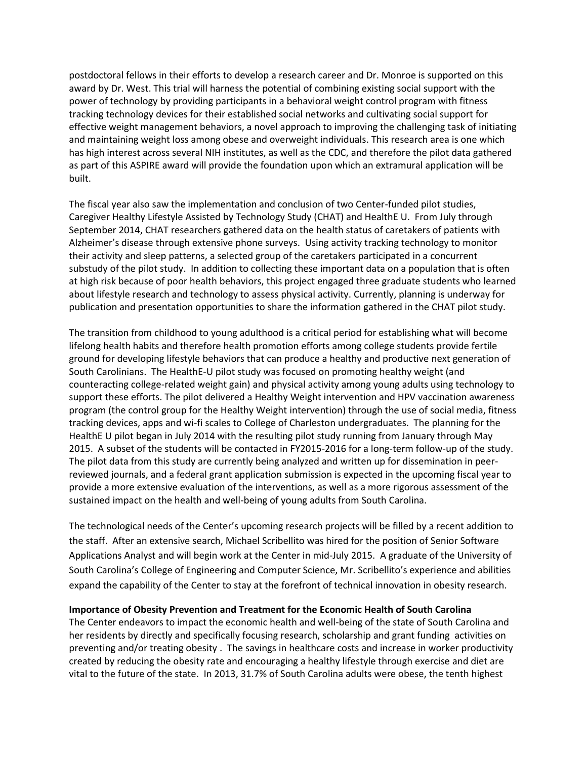postdoctoral fellows in their efforts to develop a research career and Dr. Monroe is supported on this award by Dr. West. This trial will harness the potential of combining existing social support with the power of technology by providing participants in a behavioral weight control program with fitness tracking technology devices for their established social networks and cultivating social support for effective weight management behaviors, a novel approach to improving the challenging task of initiating and maintaining weight loss among obese and overweight individuals. This research area is one which has high interest across several NIH institutes, as well as the CDC, and therefore the pilot data gathered as part of this ASPIRE award will provide the foundation upon which an extramural application will be built.

The fiscal year also saw the implementation and conclusion of two Center-funded pilot studies, Caregiver Healthy Lifestyle Assisted by Technology Study (CHAT) and HealthE U. From July through September 2014, CHAT researchers gathered data on the health status of caretakers of patients with Alzheimer's disease through extensive phone surveys. Using activity tracking technology to monitor their activity and sleep patterns, a selected group of the caretakers participated in a concurrent substudy of the pilot study. In addition to collecting these important data on a population that is often at high risk because of poor health behaviors, this project engaged three graduate students who learned about lifestyle research and technology to assess physical activity. Currently, planning is underway for publication and presentation opportunities to share the information gathered in the CHAT pilot study.

The transition from childhood to young adulthood is a critical period for establishing what will become lifelong health habits and therefore health promotion efforts among college students provide fertile ground for developing lifestyle behaviors that can produce a healthy and productive next generation of South Carolinians. The HealthE-U pilot study was focused on promoting healthy weight (and counteracting college-related weight gain) and physical activity among young adults using technology to support these efforts. The pilot delivered a Healthy Weight intervention and HPV vaccination awareness program (the control group for the Healthy Weight intervention) through the use of social media, fitness tracking devices, apps and wi-fi scales to College of Charleston undergraduates. The planning for the HealthE U pilot began in July 2014 with the resulting pilot study running from January through May 2015. A subset of the students will be contacted in FY2015-2016 for a long-term follow-up of the study. The pilot data from this study are currently being analyzed and written up for dissemination in peerreviewed journals, and a federal grant application submission is expected in the upcoming fiscal year to provide a more extensive evaluation of the interventions, as well as a more rigorous assessment of the sustained impact on the health and well-being of young adults from South Carolina.

The technological needs of the Center's upcoming research projects will be filled by a recent addition to the staff. After an extensive search, Michael Scribellito was hired for the position of Senior Software Applications Analyst and will begin work at the Center in mid-July 2015. A graduate of the University of South Carolina's College of Engineering and Computer Science, Mr. Scribellito's experience and abilities expand the capability of the Center to stay at the forefront of technical innovation in obesity research.

#### **Importance of Obesity Prevention and Treatment for the Economic Health of South Carolina**

The Center endeavors to impact the economic health and well-being of the state of South Carolina and her residents by directly and specifically focusing research, scholarship and grant funding activities on preventing and/or treating obesity . The savings in healthcare costs and increase in worker productivity created by reducing the obesity rate and encouraging a healthy lifestyle through exercise and diet are vital to the future of the state. In 2013, 31.7% of South Carolina adults were obese, the tenth highest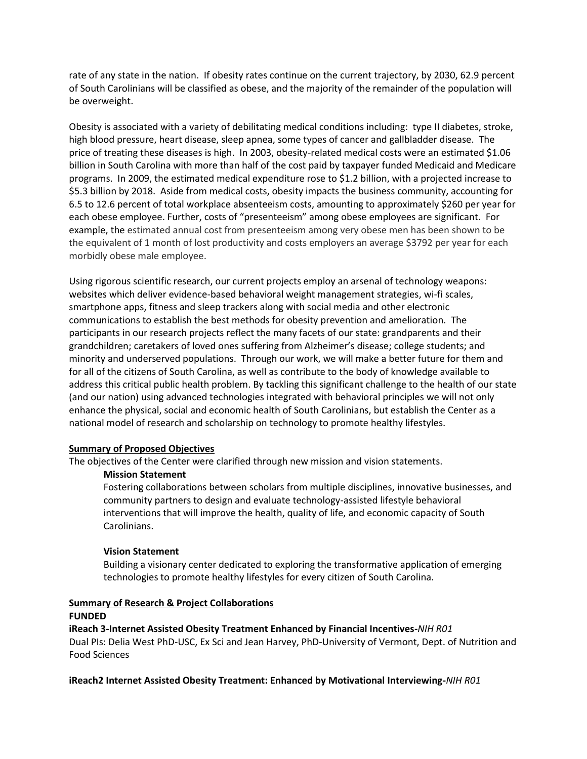rate of any state in the nation. If obesity rates continue on the current trajectory, by 2030, 62.9 percent of South Carolinians will be classified as obese, and the majority of the remainder of the population will be overweight.

Obesity is associated with a variety of debilitating medical conditions including: type II diabetes, stroke, high blood pressure, heart disease, sleep apnea, some types of cancer and gallbladder disease. The price of treating these diseases is high. In 2003, obesity-related medical costs were an estimated \$1.06 billion in South Carolina with more than half of the cost paid by taxpayer funded Medicaid and Medicare programs. In 2009, the estimated medical expenditure rose to \$1.2 billion, with a projected increase to \$5.3 billion by 2018. Aside from medical costs, obesity impacts the business community, accounting for 6.5 to 12.6 percent of total workplace absenteeism costs, amounting to approximately \$260 per year for each obese employee. Further, costs of "presenteeism" among obese employees are significant. For example, the estimated annual cost from presenteeism among very obese men has been shown to be the equivalent of 1 month of lost productivity and costs employers an average \$3792 per year for each morbidly obese male employee.

Using rigorous scientific research, our current projects employ an arsenal of technology weapons: websites which deliver evidence-based behavioral weight management strategies, wi-fi scales, smartphone apps, fitness and sleep trackers along with social media and other electronic communications to establish the best methods for obesity prevention and amelioration. The participants in our research projects reflect the many facets of our state: grandparents and their grandchildren; caretakers of loved ones suffering from Alzheimer's disease; college students; and minority and underserved populations. Through our work, we will make a better future for them and for all of the citizens of South Carolina, as well as contribute to the body of knowledge available to address this critical public health problem. By tackling this significant challenge to the health of our state (and our nation) using advanced technologies integrated with behavioral principles we will not only enhance the physical, social and economic health of South Carolinians, but establish the Center as a national model of research and scholarship on technology to promote healthy lifestyles.

## **Summary of Proposed Objectives**

The objectives of the Center were clarified through new mission and vision statements.

#### **Mission Statement**

Fostering collaborations between scholars from multiple disciplines, innovative businesses, and community partners to design and evaluate technology-assisted lifestyle behavioral interventions that will improve the health, quality of life, and economic capacity of South Carolinians.

#### **Vision Statement**

Building a visionary center dedicated to exploring the transformative application of emerging technologies to promote healthy lifestyles for every citizen of South Carolina.

# **Summary of Research & Project Collaborations**

# **FUNDED**

## **iReach 3-Internet Assisted Obesity Treatment Enhanced by Financial Incentives-***NIH R01*

Dual PIs: Delia West PhD-USC, Ex Sci and Jean Harvey, PhD-University of Vermont, Dept. of Nutrition and Food Sciences

#### **iReach2 Internet Assisted Obesity Treatment: Enhanced by Motivational Interviewing-***NIH R01*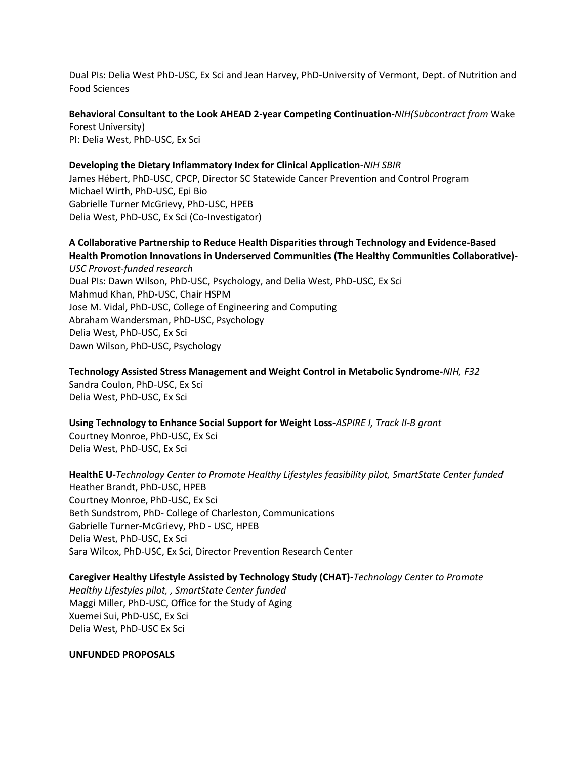Dual PIs: Delia West PhD-USC, Ex Sci and Jean Harvey, PhD-University of Vermont, Dept. of Nutrition and Food Sciences

**Behavioral Consultant to the Look AHEAD 2-year Competing Continuation-***NIH(Subcontract from* Wake Forest University) PI: Delia West, PhD-USC, Ex Sci

**Developing the Dietary Inflammatory Index for Clinical Application**-*NIH SBIR* James Hébert, PhD-USC, CPCP, Director SC Statewide Cancer Prevention and Control Program Michael Wirth, PhD-USC, Epi Bio Gabrielle Turner McGrievy, PhD-USC, HPEB Delia West, PhD-USC, Ex Sci (Co-Investigator)

# **A Collaborative Partnership to Reduce Health Disparities through Technology and Evidence-Based Health Promotion Innovations in Underserved Communities (The Healthy Communities Collaborative)-**

*USC Provost-funded research*  Dual PIs: Dawn Wilson, PhD-USC, Psychology, and Delia West, PhD-USC, Ex Sci Mahmud Khan, PhD-USC, Chair HSPM Jose M. Vidal, PhD-USC, College of Engineering and Computing Abraham Wandersman, PhD-USC, Psychology Delia West, PhD-USC, Ex Sci Dawn Wilson, PhD-USC, Psychology

**Technology Assisted Stress Management and Weight Control in Metabolic Syndrome-***NIH, F32* Sandra Coulon, PhD-USC, Ex Sci Delia West, PhD-USC, Ex Sci

**Using Technology to Enhance Social Support for Weight Loss-***ASPIRE I, Track II-B grant* Courtney Monroe, PhD-USC, Ex Sci Delia West, PhD-USC, Ex Sci

**HealthE U-***Technology Center to Promote Healthy Lifestyles feasibility pilot, SmartState Center funded* Heather Brandt, PhD-USC, HPEB Courtney Monroe, PhD-USC, Ex Sci Beth Sundstrom, PhD- College of Charleston, Communications Gabrielle Turner-McGrievy, PhD - USC, HPEB Delia West, PhD-USC, Ex Sci Sara Wilcox, PhD-USC, Ex Sci, Director Prevention Research Center

**Caregiver Healthy Lifestyle Assisted by Technology Study (CHAT)-***Technology Center to Promote Healthy Lifestyles pilot, , SmartState Center funded* Maggi Miller, PhD-USC, Office for the Study of Aging Xuemei Sui, PhD-USC, Ex Sci Delia West, PhD-USC Ex Sci

**UNFUNDED PROPOSALS**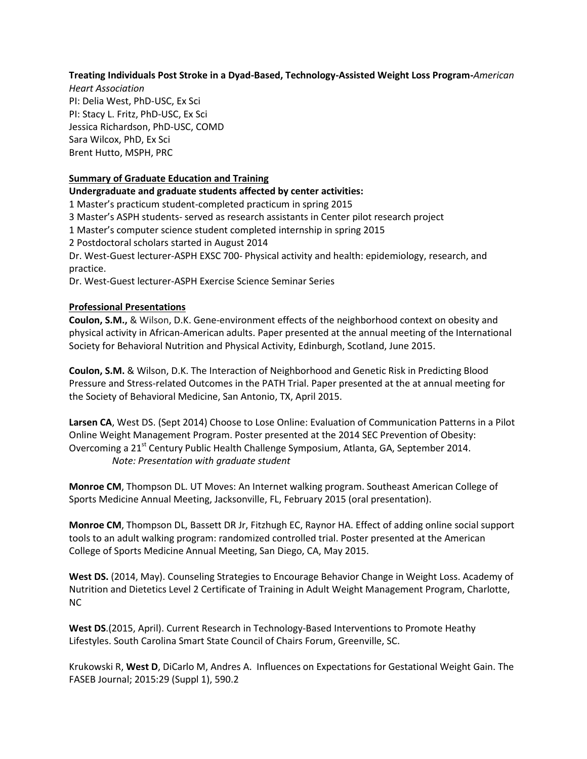# **Treating Individuals Post Stroke in a Dyad-Based, Technology-Assisted Weight Loss Program-***American*

*Heart Association* PI: Delia West, PhD-USC, Ex Sci PI: Stacy L. Fritz, PhD-USC, Ex Sci Jessica Richardson, PhD-USC, COMD Sara Wilcox, PhD, Ex Sci Brent Hutto, MSPH, PRC

## **Summary of Graduate Education and Training**

**Undergraduate and graduate students affected by center activities:**

1 Master's practicum student-completed practicum in spring 2015

3 Master's ASPH students- served as research assistants in Center pilot research project

1 Master's computer science student completed internship in spring 2015

2 Postdoctoral scholars started in August 2014

Dr. West-Guest lecturer-ASPH EXSC 700- Physical activity and health: epidemiology, research, and practice.

Dr. West-Guest lecturer-ASPH Exercise Science Seminar Series

## **Professional Presentations**

**Coulon, S.M.,** & Wilson, D.K. Gene-environment effects of the neighborhood context on obesity and physical activity in African-American adults. Paper presented at the annual meeting of the International Society for Behavioral Nutrition and Physical Activity, Edinburgh, Scotland, June 2015.

**Coulon, S.M.** & Wilson, D.K. The Interaction of Neighborhood and Genetic Risk in Predicting Blood Pressure and Stress-related Outcomes in the PATH Trial. Paper presented at the at annual meeting for the Society of Behavioral Medicine, San Antonio, TX, April 2015.

**Larsen CA**, West DS. (Sept 2014) Choose to Lose Online: Evaluation of Communication Patterns in a Pilot Online Weight Management Program. Poster presented at the 2014 SEC Prevention of Obesity: Overcoming a 21<sup>st</sup> Century Public Health Challenge Symposium, Atlanta, GA, September 2014. *Note: Presentation with graduate student*

**Monroe CM**, Thompson DL. UT Moves: An Internet walking program. Southeast American College of Sports Medicine Annual Meeting, Jacksonville, FL, February 2015 (oral presentation).

**Monroe CM**, Thompson DL, Bassett DR Jr, Fitzhugh EC, Raynor HA. Effect of adding online social support tools to an adult walking program: randomized controlled trial. Poster presented at the American College of Sports Medicine Annual Meeting, San Diego, CA, May 2015.

**West DS.** (2014, May). Counseling Strategies to Encourage Behavior Change in Weight Loss. Academy of Nutrition and Dietetics Level 2 Certificate of Training in Adult Weight Management Program, Charlotte, NC

**West DS**.(2015, April). Current Research in Technology-Based Interventions to Promote Heathy Lifestyles. South Carolina Smart State Council of Chairs Forum, Greenville, SC.

Krukowski R, **West D**, DiCarlo M, Andres A. Influences on Expectations for Gestational Weight Gain. The FASEB Journal; 2015:29 (Suppl 1), 590.2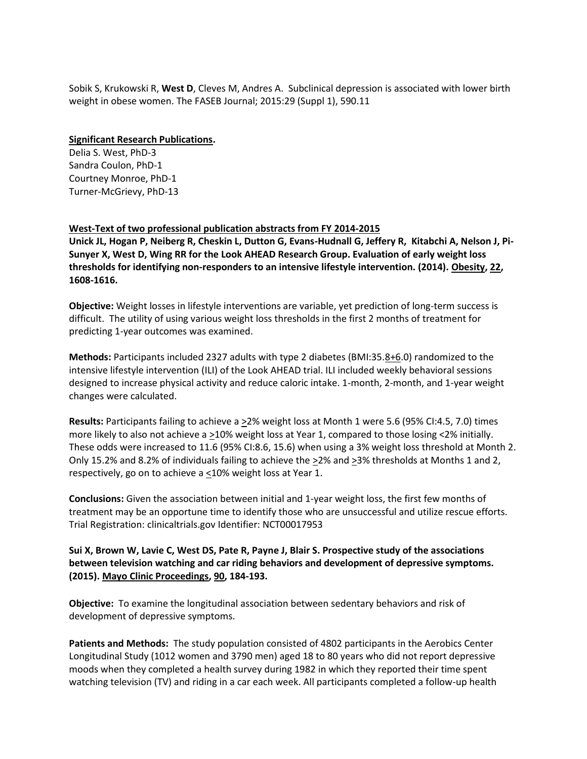Sobik S, Krukowski R, **West D**, Cleves M, Andres A. Subclinical depression is associated with lower birth weight in obese women. The FASEB Journal; 2015:29 (Suppl 1), 590.11

#### **Significant Research Publications.**

Delia S. West, PhD-3 Sandra Coulon, PhD-1 Courtney Monroe, PhD-1 Turner-McGrievy, PhD-13

## **West-Text of two professional publication abstracts from FY 2014-2015**

**Unick JL, Hogan P, Neiberg R, Cheskin L, Dutton G, Evans-Hudnall G, Jeffery R, Kitabchi A, Nelson J, Pi-Sunyer X, West D, Wing RR for the Look AHEAD Research Group. Evaluation of early weight loss thresholds for identifying non-responders to an intensive lifestyle intervention. (2014). Obesity, 22, 1608-1616.**

**Objective:** Weight losses in lifestyle interventions are variable, yet prediction of long-term success is difficult. The utility of using various weight loss thresholds in the first 2 months of treatment for predicting 1-year outcomes was examined.

**Methods:** Participants included 2327 adults with type 2 diabetes (BMI:35.8+6.0) randomized to the intensive lifestyle intervention (ILI) of the Look AHEAD trial. ILI included weekly behavioral sessions designed to increase physical activity and reduce caloric intake. 1-month, 2-month, and 1-year weight changes were calculated.

**Results:** Participants failing to achieve a >2% weight loss at Month 1 were 5.6 (95% CI:4.5, 7.0) times more likely to also not achieve a >10% weight loss at Year 1, compared to those losing <2% initially. These odds were increased to 11.6 (95% CI:8.6, 15.6) when using a 3% weight loss threshold at Month 2. Only 15.2% and 8.2% of individuals failing to achieve the  $\geq$ 2% and  $\geq$ 3% thresholds at Months 1 and 2, respectively, go on to achieve a  $\leq$ 10% weight loss at Year 1.

**Conclusions:** Given the association between initial and 1-year weight loss, the first few months of treatment may be an opportune time to identify those who are unsuccessful and utilize rescue efforts. Trial Registration: clinicaltrials.gov Identifier: NCT00017953

**Sui X, Brown W, Lavie C, West DS, Pate R, Payne J, Blair S. Prospective study of the associations between television watching and car riding behaviors and development of depressive symptoms. (2015). Mayo Clinic Proceedings, 90, 184-193.**

**Objective:** To examine the longitudinal association between sedentary behaviors and risk of development of depressive symptoms.

**Patients and Methods:** The study population consisted of 4802 participants in the Aerobics Center Longitudinal Study (1012 women and 3790 men) aged 18 to 80 years who did not report depressive moods when they completed a health survey during 1982 in which they reported their time spent watching television (TV) and riding in a car each week. All participants completed a follow-up health